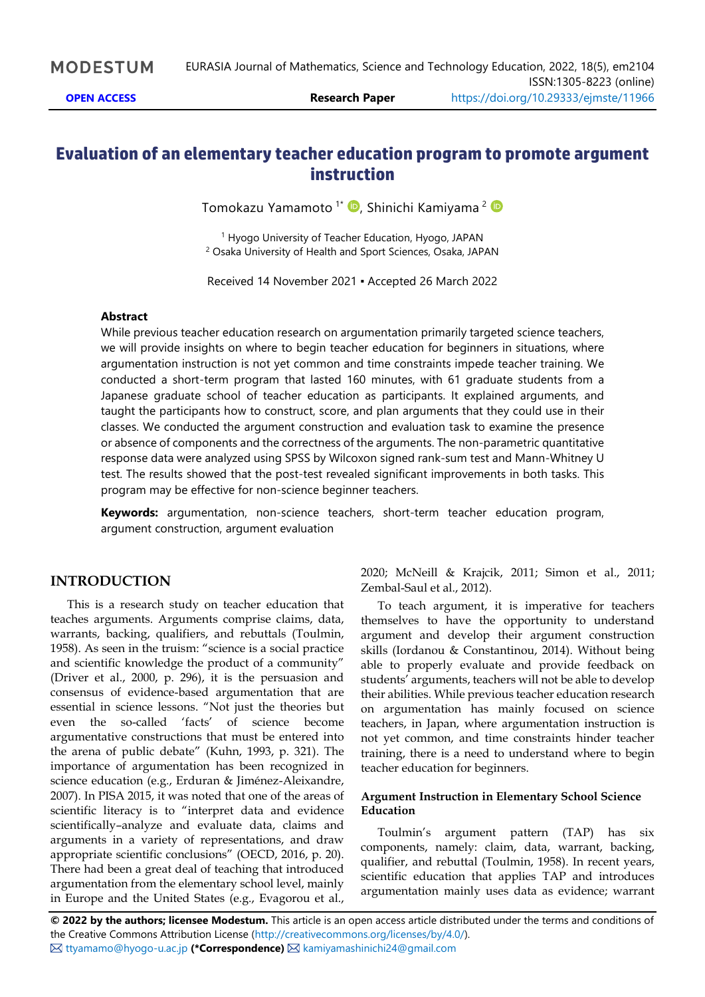## **Evaluation of an elementary teacher education program to promote argument instruction**

Tomokazu Yamamoto <sup>1\*</sup> D, Shinichi Kamiyama <sup>2</sup>

<sup>1</sup> Hyogo University of Teacher Education, Hyogo, JAPAN <sup>2</sup> Osaka University of Health and Sport Sciences, Osaka, JAPAN

Received 14 November 2021 ▪ Accepted 26 March 2022

#### **Abstract**

While previous teacher education research on argumentation primarily targeted science teachers, we will provide insights on where to begin teacher education for beginners in situations, where argumentation instruction is not yet common and time constraints impede teacher training. We conducted a short-term program that lasted 160 minutes, with 61 graduate students from a Japanese graduate school of teacher education as participants. It explained arguments, and taught the participants how to construct, score, and plan arguments that they could use in their classes. We conducted the argument construction and evaluation task to examine the presence or absence of components and the correctness of the arguments. The non-parametric quantitative response data were analyzed using SPSS by Wilcoxon signed rank-sum test and Mann-Whitney U test. The results showed that the post-test revealed significant improvements in both tasks. This program may be effective for non-science beginner teachers.

**Keywords:** argumentation, non-science teachers, short-term teacher education program, argument construction, argument evaluation

### **INTRODUCTION**

This is a research study on teacher education that teaches arguments. Arguments comprise claims, data, warrants, backing, qualifiers, and rebuttals (Toulmin, 1958). As seen in the truism: "science is a social practice and scientific knowledge the product of a community" (Driver et al., 2000, p. 296), it is the persuasion and consensus of evidence-based argumentation that are essential in science lessons. "Not just the theories but even the so-called 'facts' of science become argumentative constructions that must be entered into the arena of public debate" (Kuhn, 1993, p. 321). The importance of argumentation has been recognized in science education (e.g., Erduran & Jiménez-Aleixandre, 2007). In PISA 2015, it was noted that one of the areas of scientific literacy is to "interpret data and evidence scientifically–analyze and evaluate data, claims and arguments in a variety of representations, and draw appropriate scientific conclusions" (OECD, 2016, p. 20). There had been a great deal of teaching that introduced argumentation from the elementary school level, mainly in Europe and the United States (e.g., Evagorou et al.,

2020; McNeill & Krajcik, 2011; Simon et al., 2011; Zembal-Saul et al., 2012).

To teach argument, it is imperative for teachers themselves to have the opportunity to understand argument and develop their argument construction skills (Iordanou & Constantinou, 2014). Without being able to properly evaluate and provide feedback on students' arguments, teachers will not be able to develop their abilities. While previous teacher education research on argumentation has mainly focused on science teachers, in Japan, where argumentation instruction is not yet common, and time constraints hinder teacher training, there is a need to understand where to begin teacher education for beginners.

#### **Argument Instruction in Elementary School Science Education**

Toulmin's argument pattern (TAP) has six components, namely: claim, data, warrant, backing, qualifier, and rebuttal (Toulmin, 1958). In recent years, scientific education that applies TAP and introduces argumentation mainly uses data as evidence; warrant

**© 2022 by the authors; licensee Modestum.** This article is an open access article distributed under the terms and conditions of the Creative Commons Attribution License [\(http://creativecommons.org/licenses/by/4.0/\)](http://creativecommons.org/licenses/by/4.0/). [ttyamamo@hyogo-u.ac.jp](mailto:ttyamamo@hyogo-u.ac.jp) **(\*Correspondence)** [kamiyamashinichi24@gmail.com](mailto:kamiyamashinichi24@gmail.com)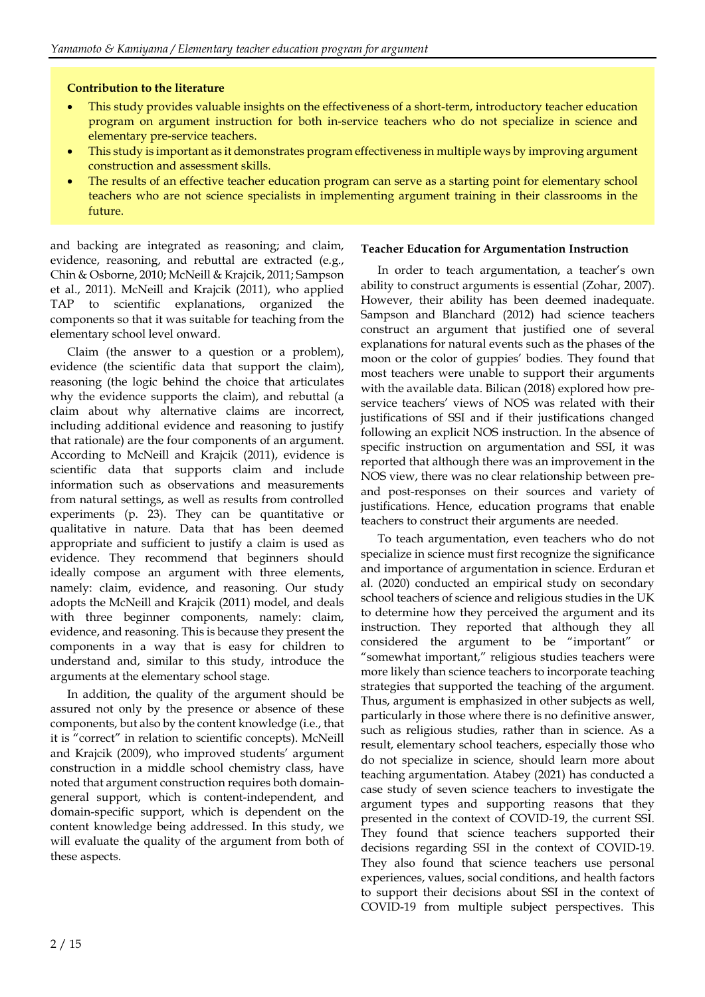### **Contribution to the literature**

- This study provides valuable insights on the effectiveness of a short-term, introductory teacher education program on argument instruction for both in-service teachers who do not specialize in science and elementary pre-service teachers.
- This study is important as it demonstrates program effectiveness in multiple ways by improving argument construction and assessment skills.
- The results of an effective teacher education program can serve as a starting point for elementary school teachers who are not science specialists in implementing argument training in their classrooms in the future.

and backing are integrated as reasoning; and claim, evidence, reasoning, and rebuttal are extracted (e.g., Chin & Osborne, 2010; McNeill & Krajcik, 2011; Sampson et al., 2011). McNeill and Krajcik (2011), who applied TAP to scientific explanations, organized the components so that it was suitable for teaching from the elementary school level onward.

Claim (the answer to a question or a problem), evidence (the scientific data that support the claim), reasoning (the logic behind the choice that articulates why the evidence supports the claim), and rebuttal (a claim about why alternative claims are incorrect, including additional evidence and reasoning to justify that rationale) are the four components of an argument. According to McNeill and Krajcik (2011), evidence is scientific data that supports claim and include information such as observations and measurements from natural settings, as well as results from controlled experiments (p. 23). They can be quantitative or qualitative in nature. Data that has been deemed appropriate and sufficient to justify a claim is used as evidence. They recommend that beginners should ideally compose an argument with three elements, namely: claim, evidence, and reasoning. Our study adopts the McNeill and Krajcik (2011) model, and deals with three beginner components, namely: claim, evidence, and reasoning. This is because they present the components in a way that is easy for children to understand and, similar to this study, introduce the arguments at the elementary school stage.

In addition, the quality of the argument should be assured not only by the presence or absence of these components, but also by the content knowledge (i.e., that it is "correct" in relation to scientific concepts). McNeill and Krajcik (2009), who improved students' argument construction in a middle school chemistry class, have noted that argument construction requires both domaingeneral support, which is content-independent, and domain-specific support, which is dependent on the content knowledge being addressed. In this study, we will evaluate the quality of the argument from both of these aspects.

### **Teacher Education for Argumentation Instruction**

In order to teach argumentation, a teacher's own ability to construct arguments is essential (Zohar, 2007). However, their ability has been deemed inadequate. Sampson and Blanchard (2012) had science teachers construct an argument that justified one of several explanations for natural events such as the phases of the moon or the color of guppies' bodies. They found that most teachers were unable to support their arguments with the available data. Bilican (2018) explored how preservice teachers' views of NOS was related with their justifications of SSI and if their justifications changed following an explicit NOS instruction. In the absence of specific instruction on argumentation and SSI, it was reported that although there was an improvement in the NOS view, there was no clear relationship between preand post-responses on their sources and variety of justifications. Hence, education programs that enable teachers to construct their arguments are needed.

To teach argumentation, even teachers who do not specialize in science must first recognize the significance and importance of argumentation in science. Erduran et al. (2020) conducted an empirical study on secondary school teachers of science and religious studies in the UK to determine how they perceived the argument and its instruction. They reported that although they all considered the argument to be "important" or "somewhat important," religious studies teachers were more likely than science teachers to incorporate teaching strategies that supported the teaching of the argument. Thus, argument is emphasized in other subjects as well, particularly in those where there is no definitive answer, such as religious studies, rather than in science. As a result, elementary school teachers, especially those who do not specialize in science, should learn more about teaching argumentation. Atabey (2021) has conducted a case study of seven science teachers to investigate the argument types and supporting reasons that they presented in the context of COVID-19, the current SSI. They found that science teachers supported their decisions regarding SSI in the context of COVID-19. They also found that science teachers use personal experiences, values, social conditions, and health factors to support their decisions about SSI in the context of COVID-19 from multiple subject perspectives. This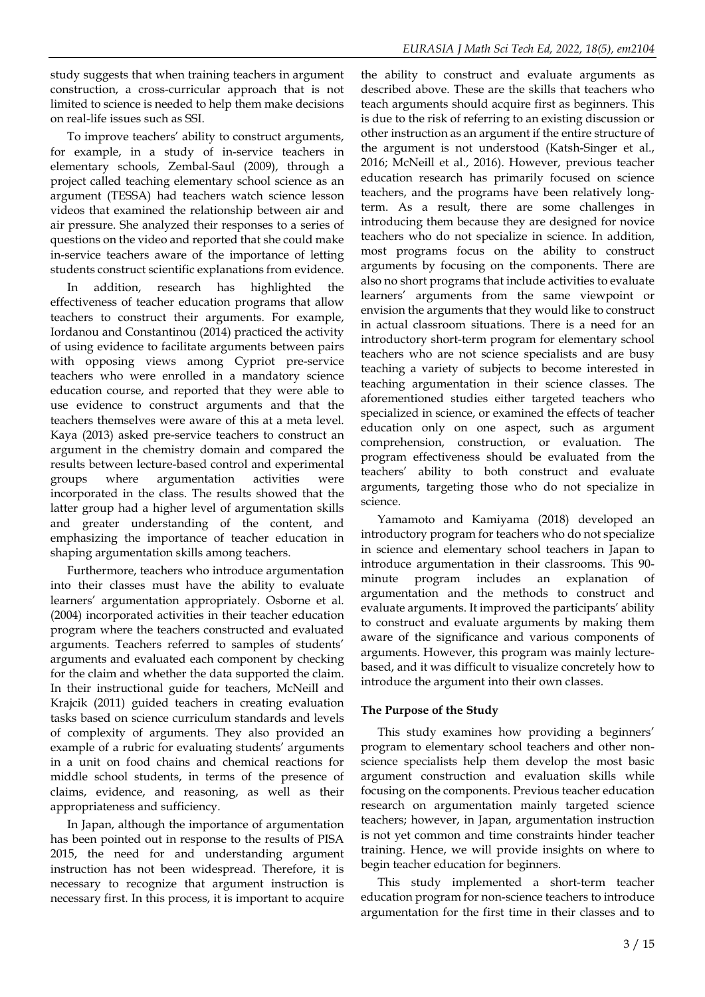study suggests that when training teachers in argument construction, a cross-curricular approach that is not limited to science is needed to help them make decisions on real-life issues such as SSI.

To improve teachers' ability to construct arguments, for example, in a study of in-service teachers in elementary schools, Zembal-Saul (2009), through a project called teaching elementary school science as an argument (TESSA) had teachers watch science lesson videos that examined the relationship between air and air pressure. She analyzed their responses to a series of questions on the video and reported that she could make in-service teachers aware of the importance of letting students construct scientific explanations from evidence.

In addition, research has highlighted the effectiveness of teacher education programs that allow teachers to construct their arguments. For example, Iordanou and Constantinou (2014) practiced the activity of using evidence to facilitate arguments between pairs with opposing views among Cypriot pre-service teachers who were enrolled in a mandatory science education course, and reported that they were able to use evidence to construct arguments and that the teachers themselves were aware of this at a meta level. Kaya (2013) asked pre-service teachers to construct an argument in the chemistry domain and compared the results between lecture-based control and experimental groups where argumentation activities were incorporated in the class. The results showed that the latter group had a higher level of argumentation skills and greater understanding of the content, and emphasizing the importance of teacher education in shaping argumentation skills among teachers.

Furthermore, teachers who introduce argumentation into their classes must have the ability to evaluate learners' argumentation appropriately. Osborne et al. (2004) incorporated activities in their teacher education program where the teachers constructed and evaluated arguments. Teachers referred to samples of students' arguments and evaluated each component by checking for the claim and whether the data supported the claim. In their instructional guide for teachers, McNeill and Krajcik (2011) guided teachers in creating evaluation tasks based on science curriculum standards and levels of complexity of arguments. They also provided an example of a rubric for evaluating students' arguments in a unit on food chains and chemical reactions for middle school students, in terms of the presence of claims, evidence, and reasoning, as well as their appropriateness and sufficiency.

In Japan, although the importance of argumentation has been pointed out in response to the results of PISA 2015, the need for and understanding argument instruction has not been widespread. Therefore, it is necessary to recognize that argument instruction is necessary first. In this process, it is important to acquire

the ability to construct and evaluate arguments as described above. These are the skills that teachers who teach arguments should acquire first as beginners. This is due to the risk of referring to an existing discussion or other instruction as an argument if the entire structure of the argument is not understood (Katsh-Singer et al., 2016; McNeill et al., 2016). However, previous teacher education research has primarily focused on science teachers, and the programs have been relatively longterm. As a result, there are some challenges in introducing them because they are designed for novice teachers who do not specialize in science. In addition, most programs focus on the ability to construct arguments by focusing on the components. There are also no short programs that include activities to evaluate learners' arguments from the same viewpoint or envision the arguments that they would like to construct in actual classroom situations. There is a need for an introductory short-term program for elementary school teachers who are not science specialists and are busy teaching a variety of subjects to become interested in teaching argumentation in their science classes. The aforementioned studies either targeted teachers who specialized in science, or examined the effects of teacher education only on one aspect, such as argument comprehension, construction, or evaluation. The program effectiveness should be evaluated from the teachers' ability to both construct and evaluate arguments, targeting those who do not specialize in science.

Yamamoto and Kamiyama (2018) developed an introductory program for teachers who do not specialize in science and elementary school teachers in Japan to introduce argumentation in their classrooms. This 90 minute program includes an explanation of argumentation and the methods to construct and evaluate arguments. It improved the participants' ability to construct and evaluate arguments by making them aware of the significance and various components of arguments. However, this program was mainly lecturebased, and it was difficult to visualize concretely how to introduce the argument into their own classes.

### **The Purpose of the Study**

This study examines how providing a beginners' program to elementary school teachers and other nonscience specialists help them develop the most basic argument construction and evaluation skills while focusing on the components. Previous teacher education research on argumentation mainly targeted science teachers; however, in Japan, argumentation instruction is not yet common and time constraints hinder teacher training. Hence, we will provide insights on where to begin teacher education for beginners.

This study implemented a short-term teacher education program for non-science teachers to introduce argumentation for the first time in their classes and to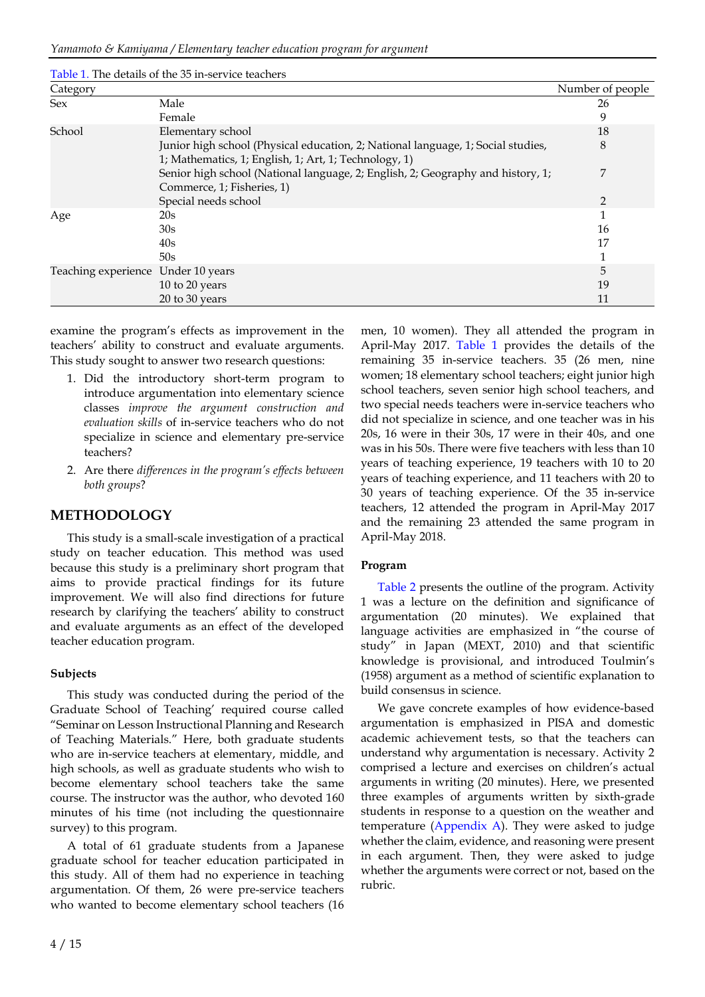|                     | Table 1. The details of the 35 in-service teachers                                                                                        |                  |
|---------------------|-------------------------------------------------------------------------------------------------------------------------------------------|------------------|
| Category            |                                                                                                                                           | Number of people |
| <b>Sex</b>          | Male                                                                                                                                      | 26               |
|                     | Female                                                                                                                                    | 9                |
| School              | Elementary school                                                                                                                         | 18               |
|                     | Junior high school (Physical education, 2; National language, 1; Social studies,<br>1; Mathematics, 1; English, 1; Art, 1; Technology, 1) | 8                |
|                     | Senior high school (National language, 2; English, 2; Geography and history, 1;<br>Commerce, 1; Fisheries, 1)                             | 7                |
|                     | Special needs school                                                                                                                      | $\overline{2}$   |
| Age                 | 20s                                                                                                                                       | 1                |
|                     | 30s                                                                                                                                       | 16               |
|                     | 40s                                                                                                                                       | 17               |
|                     | 50s                                                                                                                                       | 1                |
| Teaching experience | Under 10 years                                                                                                                            | 5                |
|                     | 10 to 20 years                                                                                                                            | 19               |
|                     | 20 to 30 years                                                                                                                            | 11               |

examine the program's effects as improvement in the teachers' ability to construct and evaluate arguments. This study sought to answer two research questions:

- 1. Did the introductory short-term program to introduce argumentation into elementary science classes *improve the argument construction and evaluation skills* of in-service teachers who do not specialize in science and elementary pre-service teachers?
- 2. Are there *differences in the program's effects between both groups*?

### **METHODOLOGY**

This study is a small-scale investigation of a practical study on teacher education. This method was used because this study is a preliminary short program that aims to provide practical findings for its future improvement. We will also find directions for future research by clarifying the teachers' ability to construct and evaluate arguments as an effect of the developed teacher education program.

#### **Subjects**

This study was conducted during the period of the Graduate School of Teaching' required course called "Seminar on Lesson Instructional Planning and Research of Teaching Materials." Here, both graduate students who are in-service teachers at elementary, middle, and high schools, as well as graduate students who wish to become elementary school teachers take the same course. The instructor was the author, who devoted 160 minutes of his time (not including the questionnaire survey) to this program.

A total of 61 graduate students from a Japanese graduate school for teacher education participated in this study. All of them had no experience in teaching argumentation. Of them, 26 were pre-service teachers who wanted to become elementary school teachers (16

men, 10 women). They all attended the program in April-May 2017. Table 1 provides the details of the remaining 35 in-service teachers. 35 (26 men, nine women; 18 elementary school teachers; eight junior high school teachers, seven senior high school teachers, and two special needs teachers were in-service teachers who did not specialize in science, and one teacher was in his 20s, 16 were in their 30s, 17 were in their 40s, and one was in his 50s. There were five teachers with less than 10 years of teaching experience, 19 teachers with 10 to 20 years of teaching experience, and 11 teachers with 20 to 30 years of teaching experience. Of the 35 in-service teachers, 12 attended the program in April-May 2017 and the remaining 23 attended the same program in April-May 2018.

#### **Program**

Table 2 presents the outline of the program. Activity 1 was a lecture on the definition and significance of argumentation (20 minutes). We explained that language activities are emphasized in "the course of study" in Japan (MEXT, 2010) and that scientific knowledge is provisional, and introduced Toulmin's (1958) argument as a method of scientific explanation to build consensus in science.

We gave concrete examples of how evidence-based argumentation is emphasized in PISA and domestic academic achievement tests, so that the teachers can understand why argumentation is necessary. Activity 2 comprised a lecture and exercises on children's actual arguments in writing (20 minutes). Here, we presented three examples of arguments written by sixth-grade students in response to a question on the weather and temperature (Appendix A). They were asked to judge whether the claim, evidence, and reasoning were present in each argument. Then, they were asked to judge whether the arguments were correct or not, based on the rubric.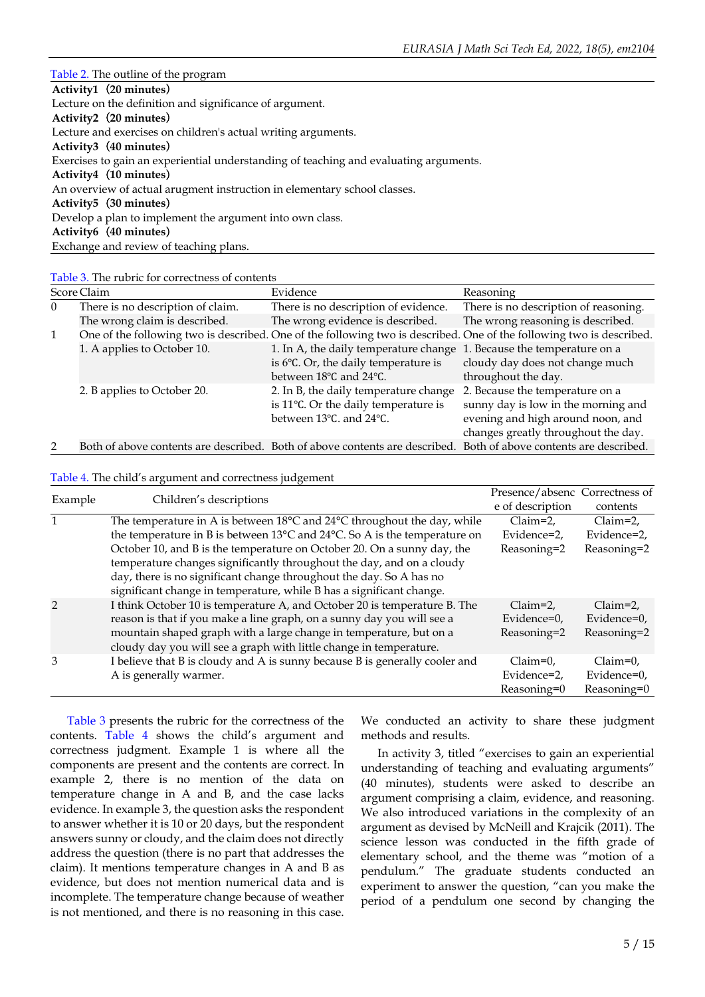#### Table 2. The outline of the program

| Activity1 (20 minutes)                                                                |
|---------------------------------------------------------------------------------------|
| Lecture on the definition and significance of argument.                               |
| Activity2 (20 minutes)                                                                |
| Lecture and exercises on children's actual writing arguments.                         |
| Activity3 (40 minutes)                                                                |
| Exercises to gain an experiential understanding of teaching and evaluating arguments. |
| Activity4 (10 minutes)                                                                |
| An overview of actual arugment instruction in elementary school classes.              |
| Activity5 (30 minutes)                                                                |
| Develop a plan to implement the argument into own class.                              |
| Activity6 (40 minutes)                                                                |
| Exchange and review of teaching plans.                                                |

Table 3. The rubric for correctness of contents

|               | Score Claim                       | Evidence                                                                                                          | Reasoning                                                                                                            |
|---------------|-----------------------------------|-------------------------------------------------------------------------------------------------------------------|----------------------------------------------------------------------------------------------------------------------|
| $\Omega$      | There is no description of claim. | There is no description of evidence.                                                                              | There is no description of reasoning.                                                                                |
|               | The wrong claim is described.     | The wrong evidence is described.                                                                                  | The wrong reasoning is described.                                                                                    |
| $\mathbf{1}$  |                                   |                                                                                                                   | One of the following two is described. One of the following two is described. One of the following two is described. |
|               | 1. A applies to October 10.       | 1. In A, the daily temperature change 1. Because the temperature on a                                             |                                                                                                                      |
|               |                                   | is $6^{\circ}$ C. Or, the daily temperature is                                                                    | cloudy day does not change much                                                                                      |
|               |                                   | between 18°C and 24°C.                                                                                            | throughout the day.                                                                                                  |
|               | 2. B applies to October 20.       | 2. In B, the daily temperature change                                                                             | 2. Because the temperature on a                                                                                      |
|               |                                   | is 11°C. Or the daily temperature is                                                                              | sunny day is low in the morning and                                                                                  |
|               |                                   | between 13°C, and 24°C.                                                                                           | evening and high around noon, and                                                                                    |
|               |                                   |                                                                                                                   | changes greatly throughout the day.                                                                                  |
| $\mathcal{D}$ |                                   | Both of above contents are described. Both of above contents are described. Both of above contents are described. |                                                                                                                      |

#### Table 4. The child's argument and correctness judgement

|               | Children's descriptions                                                                       | Presence/absenc Correctness of |               |
|---------------|-----------------------------------------------------------------------------------------------|--------------------------------|---------------|
| Example       |                                                                                               | e of description               | contents      |
| 1             | The temperature in A is between 18°C and 24°C throughout the day, while                       | $Claim=2.$                     | $Claim=2$ ,   |
|               | the temperature in B is between $13^{\circ}$ C and $24^{\circ}$ C. So A is the temperature on | Evidence=2,                    | Evidence=2,   |
|               | October 10, and B is the temperature on October 20. On a sunny day, the                       | Reasoning=2                    | Reasoning=2   |
|               | temperature changes significantly throughout the day, and on a cloudy                         |                                |               |
|               | day, there is no significant change throughout the day. So A has no                           |                                |               |
|               | significant change in temperature, while B has a significant change.                          |                                |               |
| $\mathcal{P}$ | I think October 10 is temperature A, and October 20 is temperature B. The                     | $Claim=2.$                     | $Claim=2.$    |
|               | reason is that if you make a line graph, on a sunny day you will see a                        | Evidence=0,                    | Evidence=0,   |
|               | mountain shaped graph with a large change in temperature, but on a                            | Reasoning=2                    | Reasoning=2   |
|               | cloudy day you will see a graph with little change in temperature.                            |                                |               |
| 3             | I believe that B is cloudy and A is sunny because B is generally cooler and                   | $Claim=0.$                     | $Claim=0.$    |
|               | A is generally warmer.                                                                        | Evidence=2,                    | Evidence=0,   |
|               |                                                                                               | Reasoning=0                    | $Reasoning=0$ |

Table 3 presents the rubric for the correctness of the contents. Table 4 shows the child's argument and correctness judgment. Example 1 is where all the components are present and the contents are correct. In example 2, there is no mention of the data on temperature change in A and B, and the case lacks evidence. In example 3, the question asks the respondent to answer whether it is 10 or 20 days, but the respondent answers sunny or cloudy, and the claim does not directly address the question (there is no part that addresses the claim). It mentions temperature changes in A and B as evidence, but does not mention numerical data and is incomplete. The temperature change because of weather is not mentioned, and there is no reasoning in this case.

We conducted an activity to share these judgment methods and results.

In activity 3, titled "exercises to gain an experiential understanding of teaching and evaluating arguments" (40 minutes), students were asked to describe an argument comprising a claim, evidence, and reasoning. We also introduced variations in the complexity of an argument as devised by McNeill and Krajcik (2011). The science lesson was conducted in the fifth grade of elementary school, and the theme was "motion of a pendulum." The graduate students conducted an experiment to answer the question, "can you make the period of a pendulum one second by changing the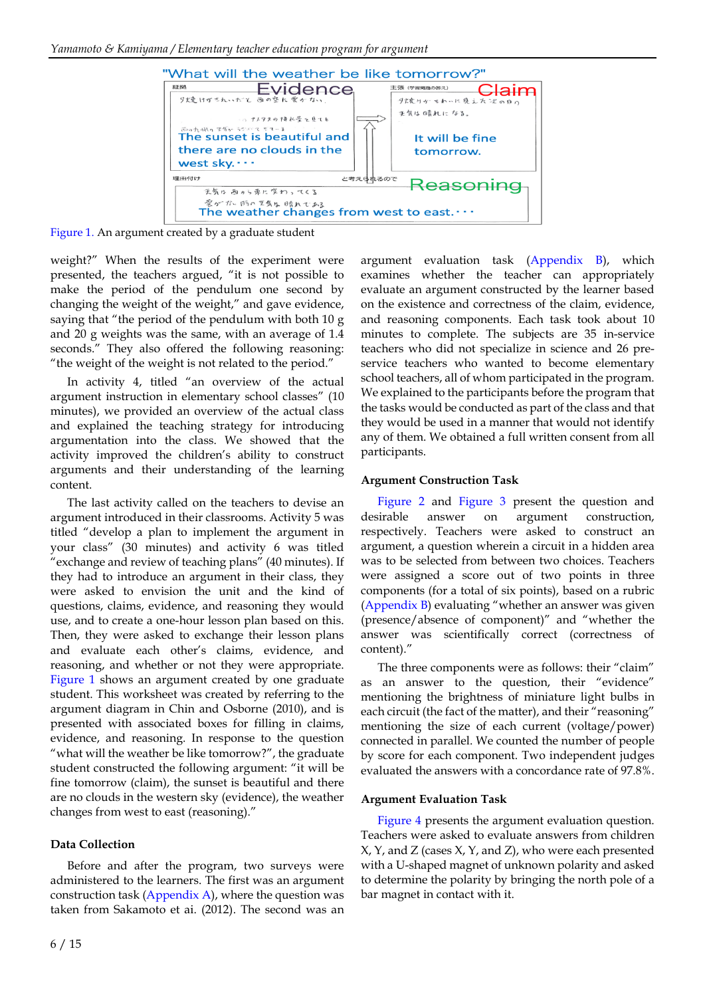

Figure 1. An argument created by a graduate student

weight?" When the results of the experiment were presented, the teachers argued, "it is not possible to make the period of the pendulum one second by changing the weight of the weight," and gave evidence, saying that "the period of the pendulum with both 10 g and 20 g weights was the same, with an average of 1.4 seconds." They also offered the following reasoning: "the weight of the weight is not related to the period."

In activity 4, titled "an overview of the actual argument instruction in elementary school classes" (10 minutes), we provided an overview of the actual class and explained the teaching strategy for introducing argumentation into the class. We showed that the activity improved the children's ability to construct arguments and their understanding of the learning content.

The last activity called on the teachers to devise an argument introduced in their classrooms. Activity 5 was titled "develop a plan to implement the argument in your class" (30 minutes) and activity 6 was titled "exchange and review of teaching plans" (40 minutes). If they had to introduce an argument in their class, they were asked to envision the unit and the kind of questions, claims, evidence, and reasoning they would use, and to create a one-hour lesson plan based on this. Then, they were asked to exchange their lesson plans and evaluate each other's claims, evidence, and reasoning, and whether or not they were appropriate. Figure 1 shows an argument created by one graduate student. This worksheet was created by referring to the argument diagram in Chin and Osborne (2010), and is presented with associated boxes for filling in claims, evidence, and reasoning. In response to the question "what will the weather be like tomorrow?", the graduate student constructed the following argument: "it will be fine tomorrow (claim), the sunset is beautiful and there are no clouds in the western sky (evidence), the weather changes from west to east (reasoning)."

#### **Data Collection**

Before and after the program, two surveys were administered to the learners. The first was an argument construction task ( $Appendix A$ ), where the question was taken from Sakamoto et ai. (2012). The second was an argument evaluation task (Appendix B), which examines whether the teacher can appropriately evaluate an argument constructed by the learner based on the existence and correctness of the claim, evidence, and reasoning components. Each task took about 10 minutes to complete. The subjects are 35 in-service teachers who did not specialize in science and 26 preservice teachers who wanted to become elementary school teachers, all of whom participated in the program. We explained to the participants before the program that the tasks would be conducted as part of the class and that they would be used in a manner that would not identify any of them. We obtained a full written consent from all participants.

#### **Argument Construction Task**

Figure 2 and Figure 3 present the question and desirable answer on argument construction, respectively. Teachers were asked to construct an argument, a question wherein a circuit in a hidden area was to be selected from between two choices. Teachers were assigned a score out of two points in three components (for a total of six points), based on a rubric (Appendix B) evaluating "whether an answer was given (presence/absence of component)" and "whether the answer was scientifically correct (correctness of content)."

The three components were as follows: their "claim" as an answer to the question, their "evidence" mentioning the brightness of miniature light bulbs in each circuit (the fact of the matter), and their "reasoning" mentioning the size of each current (voltage/power) connected in parallel. We counted the number of people by score for each component. Two independent judges evaluated the answers with a concordance rate of 97.8%.

#### **Argument Evaluation Task**

Figure 4 presents the argument evaluation question. Teachers were asked to evaluate answers from children X, Y, and Z (cases X, Y, and Z), who were each presented with a U-shaped magnet of unknown polarity and asked to determine the polarity by bringing the north pole of a bar magnet in contact with it.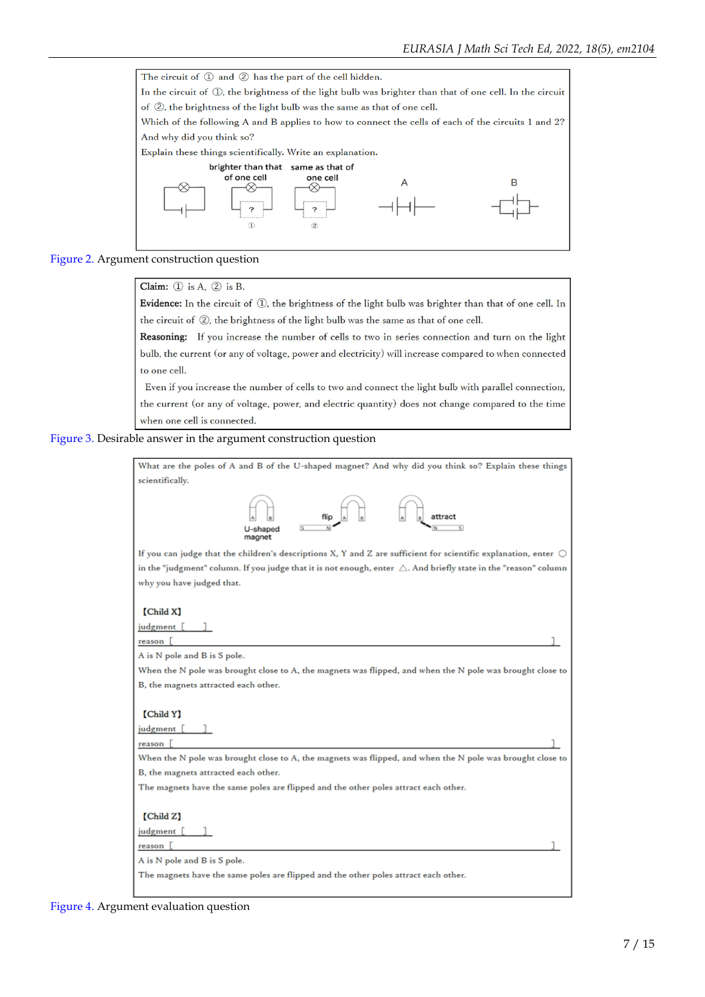

#### Figure 2. Argument construction question

Claim:  $(1)$  is A,  $(2)$  is B.

Evidence: In the circuit of 1, the brightness of the light bulb was brighter than that of one cell. In the circuit of 2, the brightness of the light bulb was the same as that of one cell.

Reasoning: If you increase the number of cells to two in series connection and turn on the light bulb, the current (or any of voltage, power and electricity) will increase compared to when connected to one cell.

Even if you increase the number of cells to two and connect the light bulb with parallel connection, the current (or any of voltage, power, and electric quantity) does not change compared to the time when one cell is connected.

Figure 3. Desirable answer in the argument construction question



Figure 4. Argument evaluation question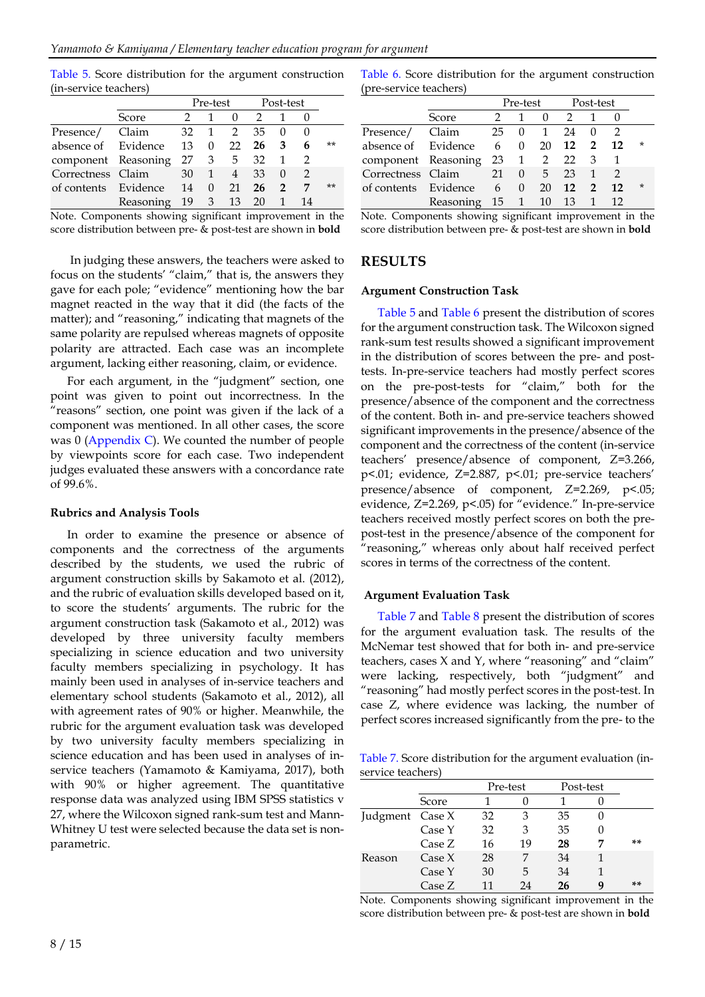Table 5. Score distribution for the argument construction (in-service teachers)

|                         |                |    | Pre-test                         |                | Post-test |                |    |       |
|-------------------------|----------------|----|----------------------------------|----------------|-----------|----------------|----|-------|
|                         | Score          |    |                                  |                | 2         |                |    |       |
| Presence/ Claim         |                |    |                                  | 32 1 2         | 35        |                |    |       |
| absence of Evidence     |                | 13 |                                  | $0 \t 22$      | 26        | 3              | 6  | $***$ |
| component Reasoning     |                |    |                                  | 27 3 5 32      |           |                |    |       |
| Correctness Claim       |                |    | 30 1                             | $\overline{4}$ | 33        | $\Omega$       |    |       |
| of contents Evidence 14 |                |    | $\begin{array}{c} 0 \end{array}$ | 21             | 26        | $\overline{2}$ | 7  | $***$ |
|                         | Reasoning 19 3 |    |                                  | 13             | 20        |                | 14 |       |

Note. Components showing significant improvement in the score distribution between pre- & post-test are shown in **bold**

In judging these answers, the teachers were asked to focus on the students' "claim," that is, the answers they gave for each pole; "evidence" mentioning how the bar magnet reacted in the way that it did (the facts of the matter); and "reasoning," indicating that magnets of the same polarity are repulsed whereas magnets of opposite polarity are attracted. Each case was an incomplete argument, lacking either reasoning, claim, or evidence.

For each argument, in the "judgment" section, one point was given to point out incorrectness. In the "reasons" section, one point was given if the lack of a component was mentioned. In all other cases, the score was 0 (Appendix C). We counted the number of people by viewpoints score for each case. Two independent judges evaluated these answers with a concordance rate of 99.6%.

#### **Rubrics and Analysis Tools**

In order to examine the presence or absence of components and the correctness of the arguments described by the students, we used the rubric of argument construction skills by Sakamoto et al. (2012), and the rubric of evaluation skills developed based on it, to score the students' arguments. The rubric for the argument construction task (Sakamoto et al., 2012) was developed by three university faculty members specializing in science education and two university faculty members specializing in psychology. It has mainly been used in analyses of in-service teachers and elementary school students (Sakamoto et al., 2012), all with agreement rates of 90% or higher. Meanwhile, the rubric for the argument evaluation task was developed by two university faculty members specializing in science education and has been used in analyses of inservice teachers (Yamamoto & Kamiyama, 2017), both with 90% or higher agreement. The quantitative response data was analyzed using IBM SPSS statistics v 27, where the Wilcoxon signed rank-sum test and Mann-Whitney U test were selected because the data set is nonparametric.

Table 6. Score distribution for the argument construction (pre-service teachers)

|                                   |                        |  |                | Pre-test Post-test |              |          |    |         |
|-----------------------------------|------------------------|--|----------------|--------------------|--------------|----------|----|---------|
|                                   | Score                  |  |                |                    | $0 \quad 2$  |          |    |         |
| Presence/ Claim                   |                        |  |                | 25 0 1             | 24           | $\Omega$ |    |         |
| absence of Evidence 6 0 20 12 2   |                        |  |                |                    |              |          | 12 | *       |
| component Reasoning 23 1 2 22 3 1 |                        |  |                |                    |              |          |    |         |
| Correctness Claim 21 0 5          |                        |  |                |                    | $23 \quad 1$ |          |    |         |
| of contents Evidence              |                        |  | $6 \t 0 \t 20$ |                    | 12 2         |          | 12 | $\star$ |
|                                   | Reasoning 15 1 10 13 1 |  |                |                    |              |          | 12 |         |

Note. Components showing significant improvement in the score distribution between pre- & post-test are shown in **bold**

#### **RESULTS**

#### **Argument Construction Task**

Table 5 and Table 6 present the distribution of scores for the argument construction task. The Wilcoxon signed rank-sum test results showed a significant improvement in the distribution of scores between the pre- and posttests. In-pre-service teachers had mostly perfect scores on the pre-post-tests for "claim," both for the presence/absence of the component and the correctness of the content. Both in- and pre-service teachers showed significant improvements in the presence/absence of the component and the correctness of the content (in-service teachers' presence/absence of component, Z=3.266, p<.01; evidence, Z=2.887, p<.01; pre-service teachers' presence/absence of component, Z=2.269, p<.05; evidence, Z=2.269, p<.05) for "evidence." In-pre-service teachers received mostly perfect scores on both the prepost-test in the presence/absence of the component for "reasoning," whereas only about half received perfect scores in terms of the correctness of the content.

#### **Argument Evaluation Task**

Table 7 and Table 8 present the distribution of scores for the argument evaluation task. The results of the McNemar test showed that for both in- and pre-service teachers, cases X and Y, where "reasoning" and "claim" were lacking, respectively, both "judgment" and "reasoning" had mostly perfect scores in the post-test. In case Z, where evidence was lacking, the number of perfect scores increased significantly from the pre- to the

Table 7. Score distribution for the argument evaluation (inservice teachers)

|                 |        | Pre-test |    | Post-test |    |
|-----------------|--------|----------|----|-----------|----|
|                 | Score  |          |    |           |    |
| Judgment Case X |        | 32       | 3  | 35        |    |
|                 | Case Y | 32       | З  | 35        |    |
|                 | Case Z | 16       | 19 | 28        | ** |
| Reason          | Case X | 28       |    | 34        |    |
|                 | Case Y | 30       | 5  | 34        |    |
|                 | Case Z | 11       | 24 | 26        | ** |

Note. Components showing significant improvement in the score distribution between pre- & post-test are shown in **bold**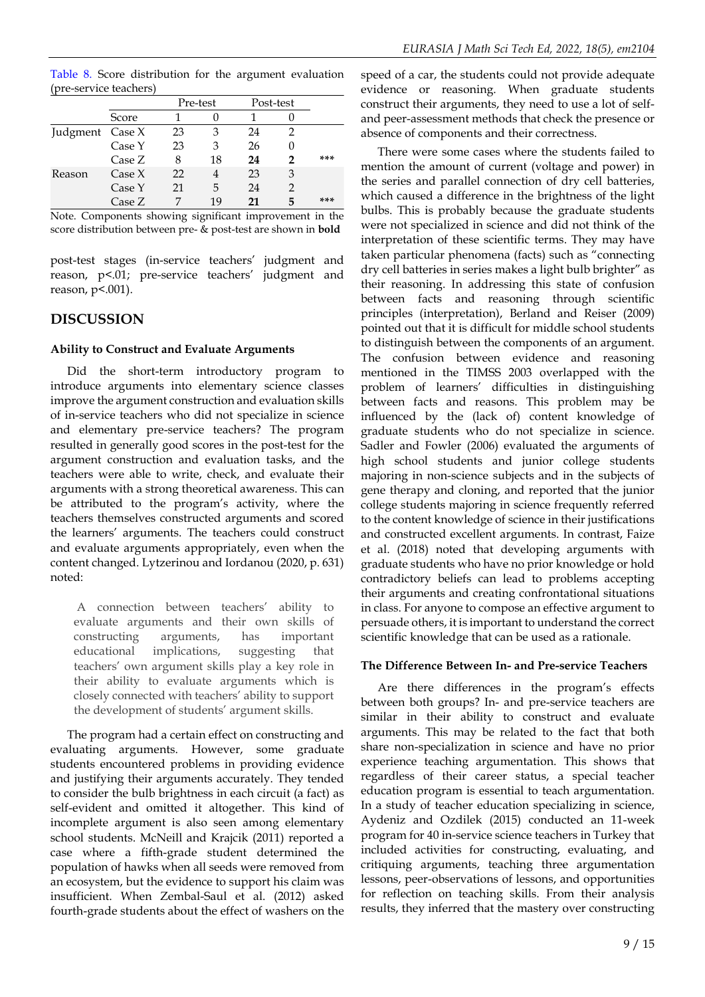Table 8. Score distribution for the argument evaluation (pre-service teachers)

|                 |          |    | Pre-test |    | Post-test |     |
|-----------------|----------|----|----------|----|-----------|-----|
|                 | Score    |    |          |    |           |     |
| Judgment Case X |          | 23 | З        | 24 |           |     |
|                 | Case Y   | 23 | 3        | 26 |           |     |
|                 | Case Z   | 8  | 18       | 24 |           | *** |
| Reason          | Case $X$ | 22 | 4        | 23 | 3         |     |
|                 | Case Y   | 21 | 5        | 24 |           |     |
|                 | Case Z   |    | 19       | 21 | 5         | *** |

Note. Components showing significant improvement in the score distribution between pre- & post-test are shown in **bold**

post-test stages (in-service teachers' judgment and reason, p<.01; pre-service teachers' judgment and reason, p<.001).

### **DISCUSSION**

### **Ability to Construct and Evaluate Arguments**

Did the short-term introductory program to introduce arguments into elementary science classes improve the argument construction and evaluation skills of in-service teachers who did not specialize in science and elementary pre-service teachers? The program resulted in generally good scores in the post-test for the argument construction and evaluation tasks, and the teachers were able to write, check, and evaluate their arguments with a strong theoretical awareness. This can be attributed to the program's activity, where the teachers themselves constructed arguments and scored the learners' arguments. The teachers could construct and evaluate arguments appropriately, even when the content changed. Lytzerinou and Iordanou (2020, p. 631) noted:

A connection between teachers' ability to evaluate arguments and their own skills of constructing arguments, has important educational implications, suggesting that teachers' own argument skills play a key role in their ability to evaluate arguments which is closely connected with teachers' ability to support the development of students' argument skills.

The program had a certain effect on constructing and evaluating arguments. However, some graduate students encountered problems in providing evidence and justifying their arguments accurately. They tended to consider the bulb brightness in each circuit (a fact) as self-evident and omitted it altogether. This kind of incomplete argument is also seen among elementary school students. McNeill and Krajcik (2011) reported a case where a fifth-grade student determined the population of hawks when all seeds were removed from an ecosystem, but the evidence to support his claim was insufficient. When Zembal-Saul et al. (2012) asked fourth-grade students about the effect of washers on the

speed of a car, the students could not provide adequate evidence or reasoning. When graduate students construct their arguments, they need to use a lot of selfand peer-assessment methods that check the presence or absence of components and their correctness.

There were some cases where the students failed to mention the amount of current (voltage and power) in the series and parallel connection of dry cell batteries, which caused a difference in the brightness of the light bulbs. This is probably because the graduate students were not specialized in science and did not think of the interpretation of these scientific terms. They may have taken particular phenomena (facts) such as "connecting dry cell batteries in series makes a light bulb brighter" as their reasoning. In addressing this state of confusion between facts and reasoning through scientific principles (interpretation), Berland and Reiser (2009) pointed out that it is difficult for middle school students to distinguish between the components of an argument. The confusion between evidence and reasoning mentioned in the TIMSS 2003 overlapped with the problem of learners' difficulties in distinguishing between facts and reasons. This problem may be influenced by the (lack of) content knowledge of graduate students who do not specialize in science. Sadler and Fowler (2006) evaluated the arguments of high school students and junior college students majoring in non-science subjects and in the subjects of gene therapy and cloning, and reported that the junior college students majoring in science frequently referred to the content knowledge of science in their justifications and constructed excellent arguments. In contrast, Faize et al. (2018) noted that developing arguments with graduate students who have no prior knowledge or hold contradictory beliefs can lead to problems accepting their arguments and creating confrontational situations in class. For anyone to compose an effective argument to persuade others, it is important to understand the correct scientific knowledge that can be used as a rationale.

### **The Difference Between In- and Pre-service Teachers**

Are there differences in the program's effects between both groups? In- and pre-service teachers are similar in their ability to construct and evaluate arguments. This may be related to the fact that both share non-specialization in science and have no prior experience teaching argumentation. This shows that regardless of their career status, a special teacher education program is essential to teach argumentation. In a study of teacher education specializing in science, Aydeniz and Ozdilek (2015) conducted an 11-week program for 40 in-service science teachers in Turkey that included activities for constructing, evaluating, and critiquing arguments, teaching three argumentation lessons, peer-observations of lessons, and opportunities for reflection on teaching skills. From their analysis results, they inferred that the mastery over constructing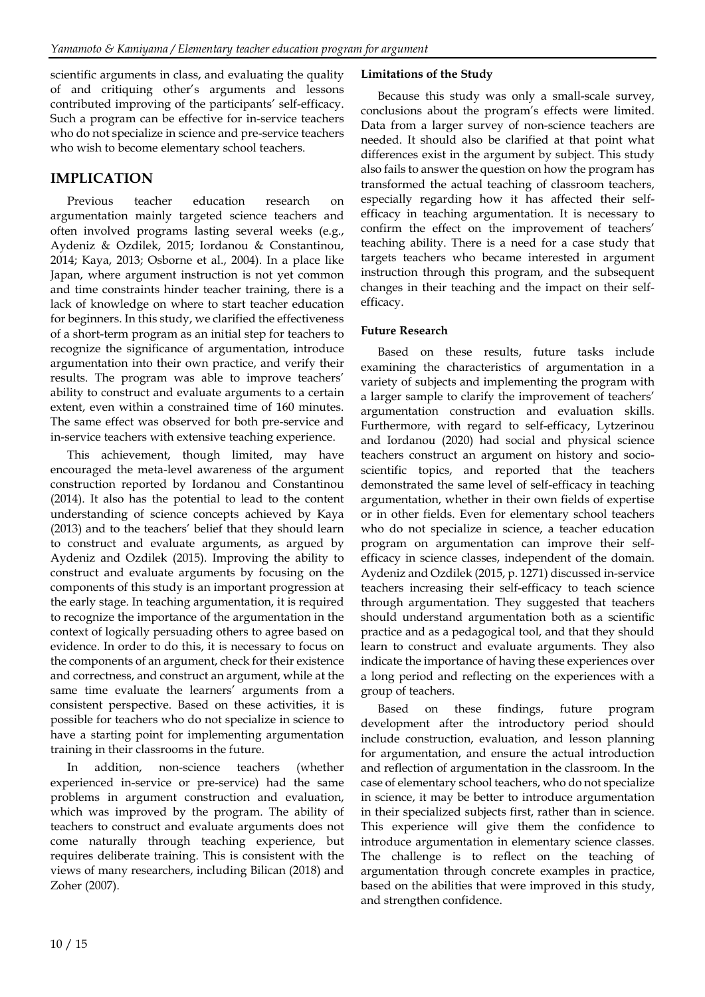scientific arguments in class, and evaluating the quality of and critiquing other's arguments and lessons contributed improving of the participants' self-efficacy. Such a program can be effective for in-service teachers who do not specialize in science and pre-service teachers who wish to become elementary school teachers.

### **IMPLICATION**

Previous teacher education research on argumentation mainly targeted science teachers and often involved programs lasting several weeks (e.g., Aydeniz & Ozdilek, 2015; Iordanou & Constantinou, 2014; Kaya, 2013; Osborne et al., 2004). In a place like Japan, where argument instruction is not yet common and time constraints hinder teacher training, there is a lack of knowledge on where to start teacher education for beginners. In this study, we clarified the effectiveness of a short-term program as an initial step for teachers to recognize the significance of argumentation, introduce argumentation into their own practice, and verify their results. The program was able to improve teachers' ability to construct and evaluate arguments to a certain extent, even within a constrained time of 160 minutes. The same effect was observed for both pre-service and in-service teachers with extensive teaching experience.

This achievement, though limited, may have encouraged the meta-level awareness of the argument construction reported by Iordanou and Constantinou (2014). It also has the potential to lead to the content understanding of science concepts achieved by Kaya (2013) and to the teachers' belief that they should learn to construct and evaluate arguments, as argued by Aydeniz and Ozdilek (2015). Improving the ability to construct and evaluate arguments by focusing on the components of this study is an important progression at the early stage. In teaching argumentation, it is required to recognize the importance of the argumentation in the context of logically persuading others to agree based on evidence. In order to do this, it is necessary to focus on the components of an argument, check for their existence and correctness, and construct an argument, while at the same time evaluate the learners' arguments from a consistent perspective. Based on these activities, it is possible for teachers who do not specialize in science to have a starting point for implementing argumentation training in their classrooms in the future.

addition, non-science teachers (whether experienced in-service or pre-service) had the same problems in argument construction and evaluation, which was improved by the program. The ability of teachers to construct and evaluate arguments does not come naturally through teaching experience, but requires deliberate training. This is consistent with the views of many researchers, including Bilican (2018) and Zoher (2007).

#### **Limitations of the Study**

Because this study was only a small-scale survey, conclusions about the program's effects were limited. Data from a larger survey of non-science teachers are needed. It should also be clarified at that point what differences exist in the argument by subject. This study also fails to answer the question on how the program has transformed the actual teaching of classroom teachers, especially regarding how it has affected their selfefficacy in teaching argumentation. It is necessary to confirm the effect on the improvement of teachers' teaching ability. There is a need for a case study that targets teachers who became interested in argument instruction through this program, and the subsequent changes in their teaching and the impact on their selfefficacy.

### **Future Research**

Based on these results, future tasks include examining the characteristics of argumentation in a variety of subjects and implementing the program with a larger sample to clarify the improvement of teachers' argumentation construction and evaluation skills. Furthermore, with regard to self-efficacy, Lytzerinou and Iordanou (2020) had social and physical science teachers construct an argument on history and socioscientific topics, and reported that the teachers demonstrated the same level of self-efficacy in teaching argumentation, whether in their own fields of expertise or in other fields. Even for elementary school teachers who do not specialize in science, a teacher education program on argumentation can improve their selfefficacy in science classes, independent of the domain. Aydeniz and Ozdilek (2015, p. 1271) discussed in-service teachers increasing their self-efficacy to teach science through argumentation. They suggested that teachers should understand argumentation both as a scientific practice and as a pedagogical tool, and that they should learn to construct and evaluate arguments. They also indicate the importance of having these experiences over a long period and reflecting on the experiences with a group of teachers.

Based on these findings, future program development after the introductory period should include construction, evaluation, and lesson planning for argumentation, and ensure the actual introduction and reflection of argumentation in the classroom. In the case of elementary school teachers, who do not specialize in science, it may be better to introduce argumentation in their specialized subjects first, rather than in science. This experience will give them the confidence to introduce argumentation in elementary science classes. The challenge is to reflect on the teaching of argumentation through concrete examples in practice, based on the abilities that were improved in this study, and strengthen confidence.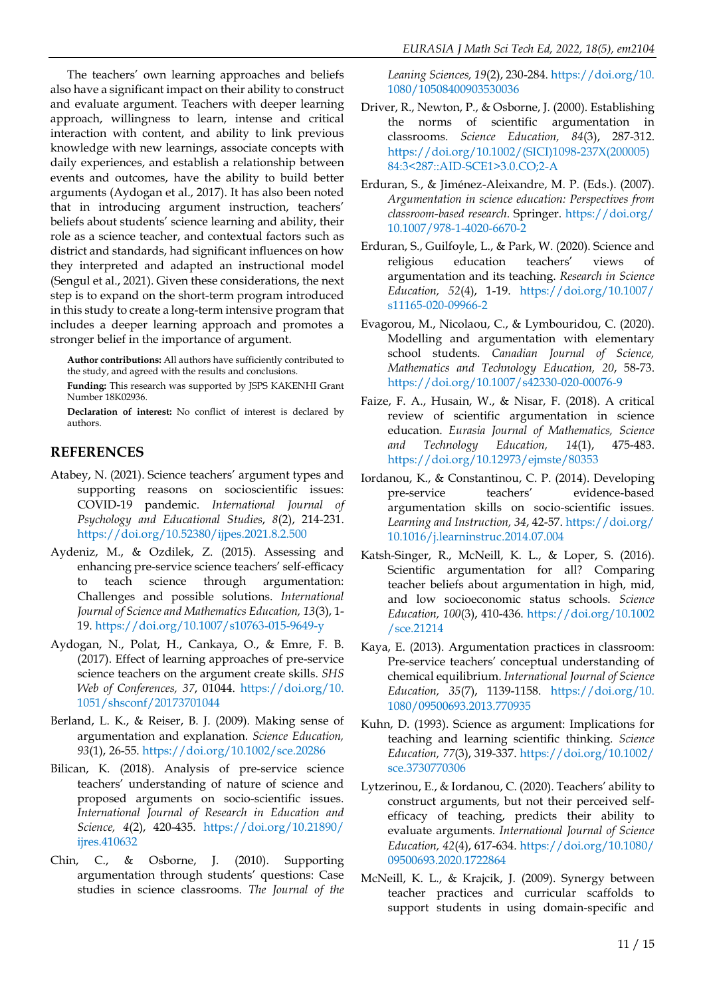The teachers' own learning approaches and beliefs also have a significant impact on their ability to construct and evaluate argument. Teachers with deeper learning approach, willingness to learn, intense and critical interaction with content, and ability to link previous knowledge with new learnings, associate concepts with daily experiences, and establish a relationship between events and outcomes, have the ability to build better arguments (Aydogan et al., 2017). It has also been noted that in introducing argument instruction, teachers' beliefs about students' science learning and ability, their role as a science teacher, and contextual factors such as district and standards, had significant influences on how they interpreted and adapted an instructional model (Sengul et al., 2021). Given these considerations, the next step is to expand on the short-term program introduced in this study to create a long-term intensive program that includes a deeper learning approach and promotes a stronger belief in the importance of argument.

**Author contributions:** All authors have sufficiently contributed to the study, and agreed with the results and conclusions.

**Funding:** This research was supported by JSPS KAKENHI Grant Number 18K02936.

**Declaration of interest:** No conflict of interest is declared by authors.

### **REFERENCES**

- Atabey, N. (2021). Science teachers' argument types and supporting reasons on socioscientific issues: COVID-19 pandemic. *International Journal of Psychology and Educational Studies*, *8*(2), 214-231. <https://doi.org/10.52380/ijpes.2021.8.2.500>
- Aydeniz, M., & Ozdilek, Z. (2015). Assessing and enhancing pre-service science teachers' self-efficacy to teach science through argumentation: Challenges and possible solutions. *International Journal of Science and Mathematics Education, 13*(3), 1- 19. <https://doi.org/10.1007/s10763-015-9649-y>
- Aydogan, N., Polat, Η., Cankaya, Ο., & Emre, F. B. (2017). Effect of learning approaches of pre-service science teachers on the argument create skills. *SHS Web of Conferences, 37*, 01044. [https://doi.org/10.](https://doi.org/10.1051/shsconf/20173701044) [1051/shsconf/20173701044](https://doi.org/10.1051/shsconf/20173701044)
- Berland, L. K., & Reiser, B. J. (2009). Making sense of argumentation and explanation. *Science Education, 93*(1), 26-55. <https://doi.org/10.1002/sce.20286>
- Bilican, K. (2018). Analysis of pre-service science teachers' understanding of nature of science and proposed arguments on socio-scientific issues. *International Journal of Research in Education and Science, 4*(2), 420-435. [https://doi.org/10.21890/](https://doi.org/10.21890/ijres.410632) [ijres.410632](https://doi.org/10.21890/ijres.410632)
- Chin, C., & Osborne, J. (2010). Supporting argumentation through students' questions: Case studies in science classrooms. *The Journal of the*

*Leaning Sciences, 19*(2), 230-284. [https://doi.org/10.](https://doi.org/10.1080/10508400903530036) [1080/10508400903530036](https://doi.org/10.1080/10508400903530036)

- Driver, R., Newton, P., & Osborne, J. (2000). Establishing the norms of scientific argumentation in classrooms. *Science Education, 84*(3), 287-312. [https://doi.org/10.1002/\(SICI\)1098-237X\(200005\)](https://doi.org/10.1002/(SICI)1098-237X(200005)84:3%3c287::AID-SCE1%3e3.0.CO;2-A) [84:3<287::AID-SCE1>3.0.CO;2-A](https://doi.org/10.1002/(SICI)1098-237X(200005)84:3%3c287::AID-SCE1%3e3.0.CO;2-A)
- Erduran, S., & Jiménez-Aleixandre, M. P. (Eds.). (2007). *Argumentation in science education: Perspectives from classroom-based research*. Springer. [https://doi.org/](https://doi.org/10.1007/978-1-4020-6670-2) [10.1007/978-1-4020-6670-2](https://doi.org/10.1007/978-1-4020-6670-2)
- Erduran, S., Guilfoyle, L., & Park, W. (2020). Science and religious education teachers' views of argumentation and its teaching. *Research in Science Education, 52*(4), 1-19. [https://doi.org/10.1007/](https://doi.org/10.1007/s11165-020-09966-2) [s11165-020-09966-2](https://doi.org/10.1007/s11165-020-09966-2)
- Evagorou, M., Nicolaou, C., & Lymbouridou, C. (2020). Modelling and argumentation with elementary school students. *Canadian Journal of Science, Mathematics and Technology Education, 20*, 58-73. <https://doi.org/10.1007/s42330-020-00076-9>
- Faize, F. A., Husain, W., & Nisar, F. (2018). A critical review of scientific argumentation in science education. *Eurasia Journal of Mathematics, Science and Technology Education, 14*(1), 475-483. <https://doi.org/10.12973/ejmste/80353>
- Iordanou, K., & Constantinou, C. P. (2014). Developing pre-service teachers' evidence-based argumentation skills on socio-scientific issues. *Learning and Instruction, 34*, 42-57. [https://doi.org/](https://doi.org/10.1016/j.learninstruc.2014.07.004) [10.1016/j.learninstruc.2014.07.004](https://doi.org/10.1016/j.learninstruc.2014.07.004)
- Katsh-Singer, R., McNeill, K. L., & Loper, S. (2016). Scientific argumentation for all? Comparing teacher beliefs about argumentation in high, mid, and low socioeconomic status schools. *Science Education, 100*(3), 410-436. [https://doi.org/10.1002](https://doi.org/10.1002/sce.21214) [/sce.21214](https://doi.org/10.1002/sce.21214)
- Kaya, E. (2013). Argumentation practices in classroom: Pre-service teachers' conceptual understanding of chemical equilibrium. *International Journal of Science Education, 35*(7), 1139-1158. [https://doi.org/10.](https://doi.org/10.1080/09500693.2013.770935) [1080/09500693.2013.770935](https://doi.org/10.1080/09500693.2013.770935)
- Kuhn, D. (1993). Science as argument: Implications for teaching and learning scientific thinking. *Science Education, 77*(3), 319-337. [https://doi.org/10.1002/](https://doi.org/10.1002/sce.3730770306) [sce.3730770306](https://doi.org/10.1002/sce.3730770306)
- Lytzerinou, E., & Iordanou, C. (2020). Teachers' ability to construct arguments, but not their perceived selfefficacy of teaching, predicts their ability to evaluate arguments. *International Journal of Science Education, 42*(4), 617-634. [https://doi.org/10.1080/](https://doi.org/10.1080/09500693.2020.1722864) [09500693.2020.1722864](https://doi.org/10.1080/09500693.2020.1722864)
- McNeill, K. L., & Krajcik, J. (2009). Synergy between teacher practices and curricular scaffolds to support students in using domain-specific and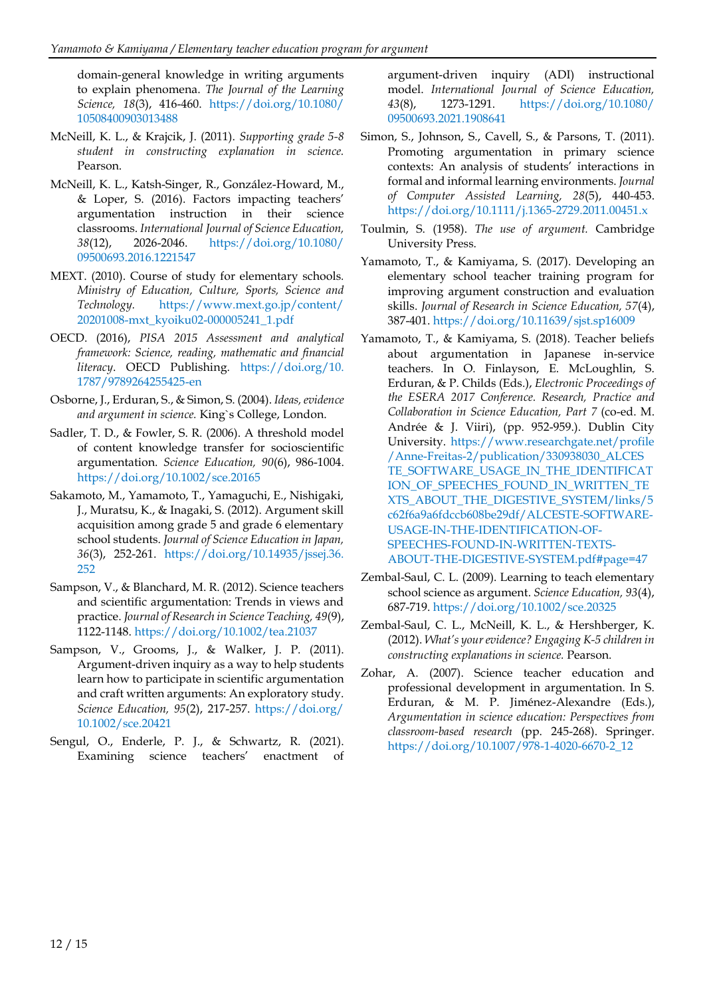domain-general knowledge in writing arguments to explain phenomena. *The Journal of the Learning Science, 18*(3), 416-460. [https://doi.org/10.1080/](https://doi.org/10.1080/10508400903013488) [10508400903013488](https://doi.org/10.1080/10508400903013488)

- McNeill, K. L., & Krajcik, J. (2011). *Supporting grade 5-8 student in constructing explanation in science.* Pearson.
- McNeill, K. L., Katsh-Singer, R., González-Howard, M., & Loper, S. (2016). Factors impacting teachers' argumentation instruction in their science classrooms. *International Journal of Science Education, 38*(12), 2026-2046. [https://doi.org/10.1080/](https://doi.org/10.1080/09500693.2016.1221547) [09500693.2016.1221547](https://doi.org/10.1080/09500693.2016.1221547)
- MEXT. (2010). Course of study for elementary schools*. Ministry of Education, Culture, Sports, Science and Technology.* [https://www.mext.go.jp/content/](https://www.mext.go.jp/content/20201008-mxt_kyoiku02-000005241_1.pdf) [20201008-mxt\\_kyoiku02-000005241\\_1.pdf](https://www.mext.go.jp/content/20201008-mxt_kyoiku02-000005241_1.pdf)
- OECD. (2016), *PISA 2015 Assessment and analytical framework: Science, reading, mathematic and financial literacy*. OECD Publishing. [https://doi.org/10.](https://doi.org/10.1787/9789264255425-en) [1787/9789264255425-en](https://doi.org/10.1787/9789264255425-en)
- Osborne, J., Erduran, S., & Simon, S. (2004). *Ideas, evidence and argument in science.* King`s College, London.
- Sadler, T. D., & Fowler, S. R. (2006). A threshold model of content knowledge transfer for socioscientific argumentation. *Science Education, 90*(6), 986-1004. <https://doi.org/10.1002/sce.20165>
- Sakamoto, M., Yamamoto, T., Yamaguchi, E., Nishigaki, J., Muratsu, K., & Inagaki, S. (2012). Argument skill acquisition among grade 5 and grade 6 elementary school students. *Journal of Science Education in Japan, 36*(3), 252-261. [https://doi.org/10.14935/jssej.36.](https://doi.org/10.14935/jssej.36.252) [252](https://doi.org/10.14935/jssej.36.252)
- Sampson, V., & Blanchard, M. R. (2012). Science teachers and scientific argumentation: Trends in views and practice. *Journal of Research in Science Teaching, 49*(9), 1122-1148[. https://doi.org/10.1002/tea.21037](https://doi.org/10.1002/tea.21037)
- Sampson, V., Grooms, J., & Walker, J. P. (2011). Argument-driven inquiry as a way to help students learn how to participate in scientific argumentation and craft written arguments: An exploratory study. *Science Education, 95*(2), 217-257. [https://doi.org/](https://doi.org/10.1002/sce.20421) [10.1002/sce.20421](https://doi.org/10.1002/sce.20421)
- Sengul, O., Enderle, P. J., & Schwartz, R. (2021). Examining science teachers' enactment of

argument-driven inquiry (ADI) instructional model. *International Journal of Science Education, 43*(8), 1273-1291. [https://doi.org/10.1080/](https://doi.org/10.1080/09500693.2021.1908641) [09500693.2021.1908641](https://doi.org/10.1080/09500693.2021.1908641)

- Simon, S., Johnson, S., Cavell, S., & Parsons, T. (2011). Promoting argumentation in primary science contexts: An analysis of students' interactions in formal and informal learning environments. *Journal of Computer Assisted Learning, 28*(5), 440-453. <https://doi.org/10.1111/j.1365-2729.2011.00451.x>
- Toulmin, S. (1958). *The use of argument.* Cambridge University Press.
- Yamamoto, T., & Kamiyama, S. (2017). Developing an elementary school teacher training program for improving argument construction and evaluation skills. *Journal of Research in Science Education, 57*(4), 387-401.<https://doi.org/10.11639/sjst.sp16009>
- Yamamoto, T., & Kamiyama, S. (2018). Teacher beliefs about argumentation in Japanese in-service teachers. In O. Finlayson, E. McLoughlin, S. Erduran, & P. Childs (Eds.), *Electronic Proceedings of the ESERA 2017 Conference. Research, Practice and Collaboration in Science Education, Part 7* (co-ed. M. Andrée & J. Viiri), (pp. 952-959.). Dublin City University. [https://www.researchgate.net/profile](https://www.researchgate.net/profile/Anne-Freitas-2/publication/330938030_ALCESTE_SOFTWARE_USAGE_IN_THE_IDENTIFICATION_OF_SPEECHES_FOUND_IN_WRITTEN_TEXTS_ABOUT_THE_DIGESTIVE_SYSTEM/links/5c62f6a9a6fdccb608be29df/ALCESTE-SOFTWARE-USAGE-IN-THE-IDENTIFICATION-OF-SPEECHES-FOUND-IN-WRITTEN-TEXTS-ABOUT-THE-DIGESTIVE-SYSTEM.pdf#page=47) [/Anne-Freitas-2/publication/330938030\\_ALCES](https://www.researchgate.net/profile/Anne-Freitas-2/publication/330938030_ALCESTE_SOFTWARE_USAGE_IN_THE_IDENTIFICATION_OF_SPEECHES_FOUND_IN_WRITTEN_TEXTS_ABOUT_THE_DIGESTIVE_SYSTEM/links/5c62f6a9a6fdccb608be29df/ALCESTE-SOFTWARE-USAGE-IN-THE-IDENTIFICATION-OF-SPEECHES-FOUND-IN-WRITTEN-TEXTS-ABOUT-THE-DIGESTIVE-SYSTEM.pdf#page=47) [TE\\_SOFTWARE\\_USAGE\\_IN\\_THE\\_IDENTIFICAT](https://www.researchgate.net/profile/Anne-Freitas-2/publication/330938030_ALCESTE_SOFTWARE_USAGE_IN_THE_IDENTIFICATION_OF_SPEECHES_FOUND_IN_WRITTEN_TEXTS_ABOUT_THE_DIGESTIVE_SYSTEM/links/5c62f6a9a6fdccb608be29df/ALCESTE-SOFTWARE-USAGE-IN-THE-IDENTIFICATION-OF-SPEECHES-FOUND-IN-WRITTEN-TEXTS-ABOUT-THE-DIGESTIVE-SYSTEM.pdf#page=47) [ION\\_OF\\_SPEECHES\\_FOUND\\_IN\\_WRITTEN\\_TE](https://www.researchgate.net/profile/Anne-Freitas-2/publication/330938030_ALCESTE_SOFTWARE_USAGE_IN_THE_IDENTIFICATION_OF_SPEECHES_FOUND_IN_WRITTEN_TEXTS_ABOUT_THE_DIGESTIVE_SYSTEM/links/5c62f6a9a6fdccb608be29df/ALCESTE-SOFTWARE-USAGE-IN-THE-IDENTIFICATION-OF-SPEECHES-FOUND-IN-WRITTEN-TEXTS-ABOUT-THE-DIGESTIVE-SYSTEM.pdf#page=47) [XTS\\_ABOUT\\_THE\\_DIGESTIVE\\_SYSTEM/links/5](https://www.researchgate.net/profile/Anne-Freitas-2/publication/330938030_ALCESTE_SOFTWARE_USAGE_IN_THE_IDENTIFICATION_OF_SPEECHES_FOUND_IN_WRITTEN_TEXTS_ABOUT_THE_DIGESTIVE_SYSTEM/links/5c62f6a9a6fdccb608be29df/ALCESTE-SOFTWARE-USAGE-IN-THE-IDENTIFICATION-OF-SPEECHES-FOUND-IN-WRITTEN-TEXTS-ABOUT-THE-DIGESTIVE-SYSTEM.pdf#page=47) [c62f6a9a6fdccb608be29df/ALCESTE-SOFTWARE-](https://www.researchgate.net/profile/Anne-Freitas-2/publication/330938030_ALCESTE_SOFTWARE_USAGE_IN_THE_IDENTIFICATION_OF_SPEECHES_FOUND_IN_WRITTEN_TEXTS_ABOUT_THE_DIGESTIVE_SYSTEM/links/5c62f6a9a6fdccb608be29df/ALCESTE-SOFTWARE-USAGE-IN-THE-IDENTIFICATION-OF-SPEECHES-FOUND-IN-WRITTEN-TEXTS-ABOUT-THE-DIGESTIVE-SYSTEM.pdf#page=47)[USAGE-IN-THE-IDENTIFICATION-OF-](https://www.researchgate.net/profile/Anne-Freitas-2/publication/330938030_ALCESTE_SOFTWARE_USAGE_IN_THE_IDENTIFICATION_OF_SPEECHES_FOUND_IN_WRITTEN_TEXTS_ABOUT_THE_DIGESTIVE_SYSTEM/links/5c62f6a9a6fdccb608be29df/ALCESTE-SOFTWARE-USAGE-IN-THE-IDENTIFICATION-OF-SPEECHES-FOUND-IN-WRITTEN-TEXTS-ABOUT-THE-DIGESTIVE-SYSTEM.pdf#page=47)[SPEECHES-FOUND-IN-WRITTEN-TEXTS-](https://www.researchgate.net/profile/Anne-Freitas-2/publication/330938030_ALCESTE_SOFTWARE_USAGE_IN_THE_IDENTIFICATION_OF_SPEECHES_FOUND_IN_WRITTEN_TEXTS_ABOUT_THE_DIGESTIVE_SYSTEM/links/5c62f6a9a6fdccb608be29df/ALCESTE-SOFTWARE-USAGE-IN-THE-IDENTIFICATION-OF-SPEECHES-FOUND-IN-WRITTEN-TEXTS-ABOUT-THE-DIGESTIVE-SYSTEM.pdf#page=47)[ABOUT-THE-DIGESTIVE-SYSTEM.pdf#page=47](https://www.researchgate.net/profile/Anne-Freitas-2/publication/330938030_ALCESTE_SOFTWARE_USAGE_IN_THE_IDENTIFICATION_OF_SPEECHES_FOUND_IN_WRITTEN_TEXTS_ABOUT_THE_DIGESTIVE_SYSTEM/links/5c62f6a9a6fdccb608be29df/ALCESTE-SOFTWARE-USAGE-IN-THE-IDENTIFICATION-OF-SPEECHES-FOUND-IN-WRITTEN-TEXTS-ABOUT-THE-DIGESTIVE-SYSTEM.pdf#page=47)
- Zembal-Saul, C. L. (2009). Learning to teach elementary school science as argument. *Science Education, 93*(4), 687-719. <https://doi.org/10.1002/sce.20325>
- Zembal-Saul, C. L., McNeill, K. L., & Hershberger, K. (2012). *What's yourevidence? Engaging K-5 children in constructing explanations in science.* Pearson.
- Zohar, A. (2007). Science teacher education and professional development in argumentation. In S. Erduran, & M. P. Jiménez-Alexandre (Eds.), *Argumentation in science education: Perspectives from classroom-based research* (pp. 245-268). Springer. [https://doi.org/10.1007/978-1-4020-6670-2\\_12](https://doi.org/10.1007/978-1-4020-6670-2_12)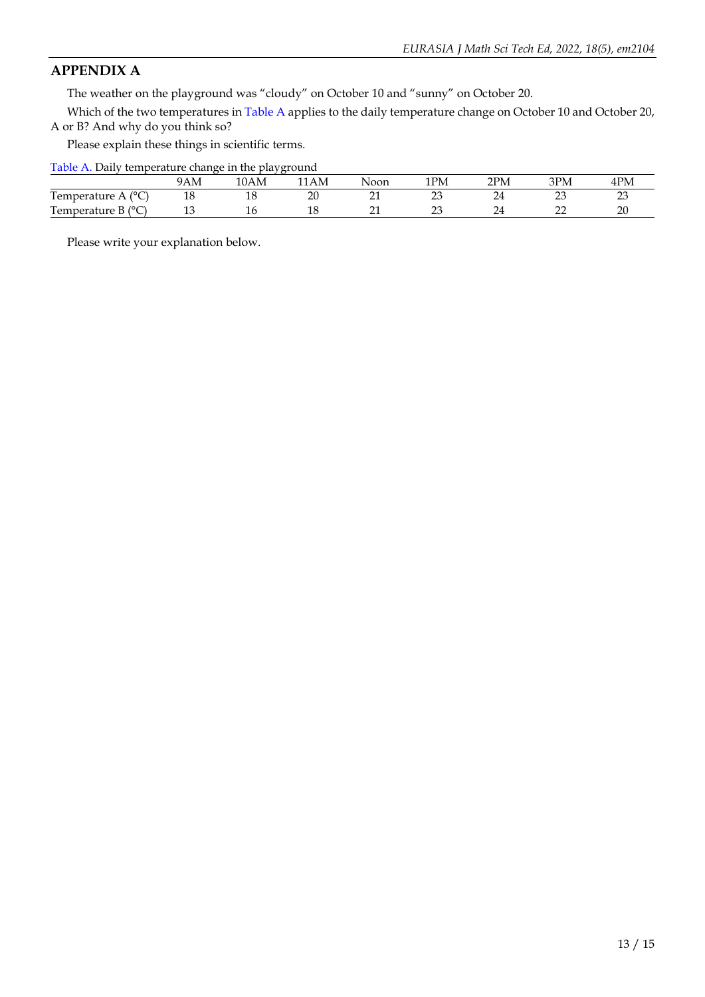### **APPENDIX A**

The weather on the playground was "cloudy" on October 10 and "sunny" on October 20.

Which of the two temperatures in Table A applies to the daily temperature change on October 10 and October 20, A or B? And why do you think so?

Please explain these things in scientific terms.

Table A. Daily temperature change in the playground

|                                 | 9AM | - -<br>$\sim$<br>A M | AΜ       | Noon | 1PM                      | 2PM        | 3PM         | 4PM          |
|---------------------------------|-----|----------------------|----------|------|--------------------------|------------|-------------|--------------|
| (0)<br>m.<br>Temperature A<br>◡ | τo  | $\sim$ $\sim$<br>ᅩ   | 20<br>∠  | $-1$ | $\sim$<br>ت              |            | $\sim$<br>ب | $\sim$<br>ب  |
| $\sim$<br>Temperature<br>◡      | ∸   | ᆂ                    | 10<br>TО | $-1$ | $\overline{\phantom{a}}$ | <u>_ _</u> | $-$         | n,<br>$\sim$ |

Please write your explanation below.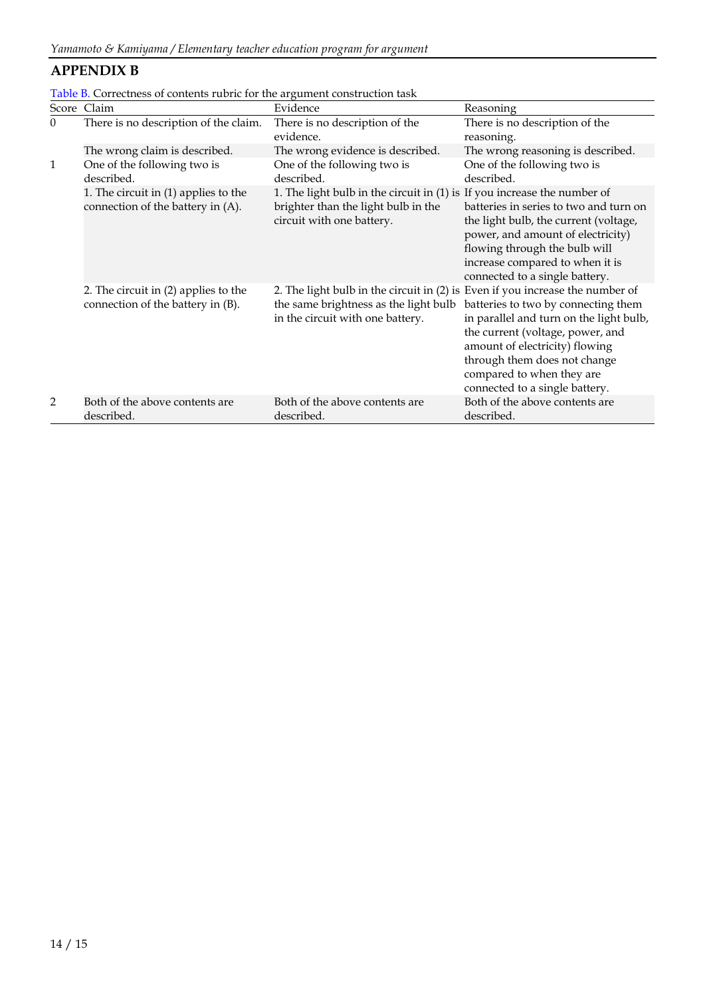### **APPENDIX B**

|          | Table <b>b</b> . Correctness of contents rubric for the argument construction task |                                                                          |                                        |
|----------|------------------------------------------------------------------------------------|--------------------------------------------------------------------------|----------------------------------------|
|          | Score Claim                                                                        | Evidence                                                                 | Reasoning                              |
| $\Omega$ | There is no description of the claim.                                              | There is no description of the                                           | There is no description of the         |
|          |                                                                                    | evidence.                                                                | reasoning.                             |
|          | The wrong claim is described.                                                      | The wrong evidence is described.                                         | The wrong reasoning is described.      |
|          | One of the following two is                                                        | One of the following two is                                              | One of the following two is            |
|          | described.                                                                         | described.                                                               | described.                             |
|          | 1. The circuit in $(1)$ applies to the                                             | 1. The light bulb in the circuit in (1) is If you increase the number of |                                        |
|          | connection of the battery in (A).                                                  | brighter than the light bulb in the                                      | batteries in series to two and turn on |
|          |                                                                                    | circuit with one battery.                                                | the light bulb, the current (voltage,  |

| Table B. Correctness of contents rubric for the argument construction task |  |  |
|----------------------------------------------------------------------------|--|--|
|----------------------------------------------------------------------------|--|--|

2. The circuit in (2) applies to the

| connection of the battery in (B). | the same brightness as the light bulb batteries to two by connecting them<br>in the circuit with one battery. | in parallel and turn on the light bulb,<br>the current (voltage, power, and<br>amount of electricity) flowing<br>through them does not change<br>compared to when they are<br>connected to a single battery. |
|-----------------------------------|---------------------------------------------------------------------------------------------------------------|--------------------------------------------------------------------------------------------------------------------------------------------------------------------------------------------------------------|
| Both of the above contents are    | Both of the above contents are                                                                                | Both of the above contents are                                                                                                                                                                               |
| described.                        | described.                                                                                                    | described.                                                                                                                                                                                                   |

power, and amount of electricity) flowing through the bulb will increase compared to when it is connected to a single battery.

2. The light bulb in the circuit in (2) is Even if you increase the number of